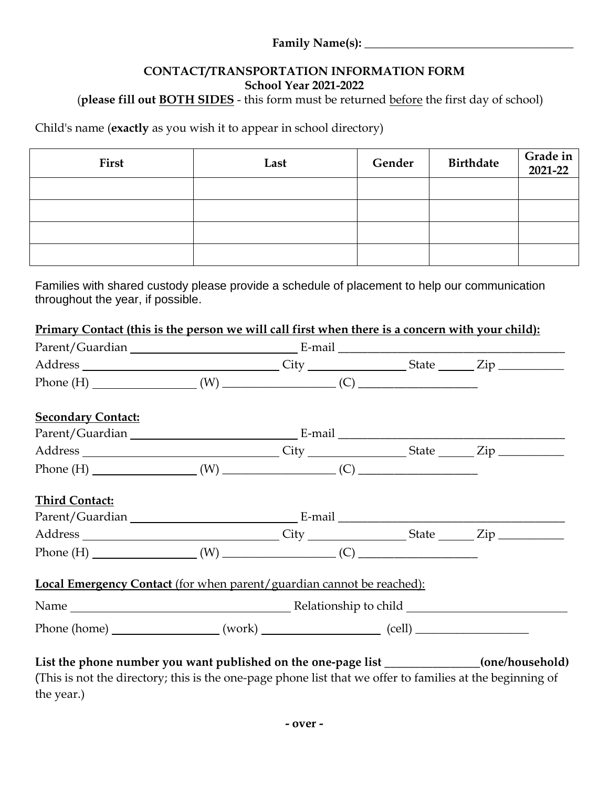#### **Family Name(s): \_\_\_\_\_\_\_\_\_\_\_\_\_\_\_\_\_\_\_\_\_\_\_\_\_\_\_\_\_\_\_\_\_\_\_**

## **CONTACT/TRANSPORTATION INFORMATION FORM School Year 2021-2022**

# (**please fill out BOTH SIDES** - this form must be returned before the first day of school)

Child's name (**exactly** as you wish it to appear in school directory)

| First | Last | Gender | <b>Birthdate</b> | Grade in 2021-22 |
|-------|------|--------|------------------|------------------|
|       |      |        |                  |                  |
|       |      |        |                  |                  |
|       |      |        |                  |                  |
|       |      |        |                  |                  |

Families with shared custody please provide a schedule of placement to help our communication throughout the year, if possible.

| Primary Contact (this is the person we will call first when there is a concern with your child):          |  |  |  |  |
|-----------------------------------------------------------------------------------------------------------|--|--|--|--|
|                                                                                                           |  |  |  |  |
| Address ________________________________City __________________State _______Zip ___________________       |  |  |  |  |
|                                                                                                           |  |  |  |  |
| <b>Secondary Contact:</b>                                                                                 |  |  |  |  |
|                                                                                                           |  |  |  |  |
| Address _________________________________City ____________________State ________Zip _______________       |  |  |  |  |
|                                                                                                           |  |  |  |  |
| <b>Third Contact:</b>                                                                                     |  |  |  |  |
|                                                                                                           |  |  |  |  |
| Address ________________________________City _________________State _______Zip _____________________      |  |  |  |  |
|                                                                                                           |  |  |  |  |
| Local Emergency Contact (for when parent/guardian cannot be reached):                                     |  |  |  |  |
|                                                                                                           |  |  |  |  |
|                                                                                                           |  |  |  |  |
| List the phone number you want published on the one-page list _____________(one/household)                |  |  |  |  |
| (This is not the directory; this is the one-page phone list that we offer to families at the beginning of |  |  |  |  |

the year.)